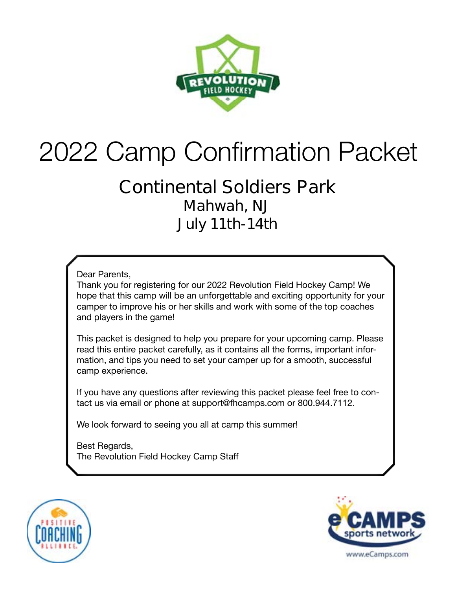

# 2022 Camp Confirmation Packet

### **Continental Soldiers Park Mahwah, NJ July 11th-14th**

Dear Parents,

Thank you for registering for our 2022 Revolution Field Hockey Camp! We hope that this camp will be an unforgettable and exciting opportunity for your camper to improve his or her skills and work with some of the top coaches and players in the game!

This packet is designed to help you prepare for your upcoming camp. Please read this entire packet carefully, as it contains all the forms, important information, and tips you need to set your camper up for a smooth, successful camp experience.

If you have any questions after reviewing this packet please feel free to contact us via email or phone at support@fhcamps.com or 800.944.7112.

We look forward to seeing you all at camp this summer!

Best Regards, The Revolution Field Hockey Camp Staff



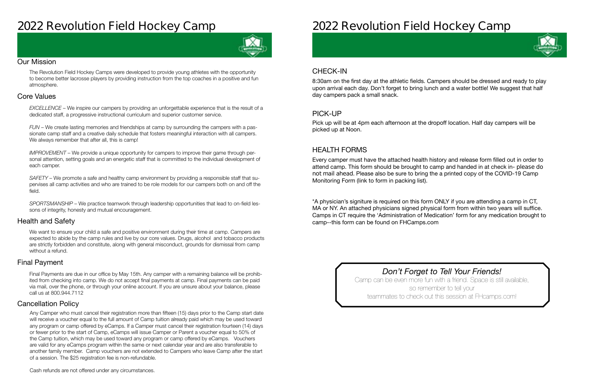# **2022 Revolution Field Hockey Camp**



#### Our Mission

The Revolution Field Hockey Camps were developed to provide young athletes with the opportunity to become better lacrosse players by providing instruction from the top coaches in a positive and fun atmosphere.

#### Health and Safety

We want to ensure your child a safe and positive environment during their time at camp. Campers are expected to abide by the camp rules and live by our core values. Drugs, alcohol and tobacco products are strictly forbidden and constitute, along with general misconduct, grounds for dismissal from camp without a refund.

#### Cancellation Policy

#### Final Payment

#### Core Values

*EXCELLENCE* – We inspire our campers by providing an unforgettable experience that is the result of a dedicated staff, a progressive instructional curriculum and superior customer service.

*FUN* – We create lasting memories and friendships at camp by surrounding the campers with a passionate camp staff and a creative daily schedule that fosters meaningful interaction with all campers. We always remember that after all, this is camp!

*IMPROVEMENT* – We provide a unique opportunity for campers to improve their game through personal attention, setting goals and an energetic staff that is committed to the individual development of each camper.

*SAFETY* – We promote a safe and healthy camp environment by providing a responsible staff that supervises all camp activities and who are trained to be role models for our campers both on and off the field.

*SPORTSMANSHIP* – We practice teamwork through leadership opportunities that lead to on-field lessons of integrity, honesty and mutual encouragement.

Final Payments are due in our office by May 15th. Any camper with a remaining balance will be prohibited from checking into camp. We do not accept final payments at camp. Final payments can be paid via mail, over the phone, or through your online account. If you are unsure about your balance, please call us at 800.944.7112

Any Camper who must cancel their registration more than fifteen (15) days prior to the Camp start date will receive a voucher equal to the full amount of Camp tuition already paid which may be used toward any program or camp offered by eCamps. If a Camper must cancel their registration fourteen (14) days or fewer prior to the start of Camp, eCamps will issue Camper or Parent a voucher equal to 50% of the Camp tuition, which may be used toward any program or camp offered by eCamps. Vouchers are valid for any eCamps program within the same or next calendar year and are also transferable to another family member. Camp vouchers are not extended to Campers who leave Camp after the start of a session. The \$25 registration fee is non-refundable.

# **2022 Revolution Field Hockey Camp**

### CHECK-IN

#### PICK-UP

#### HEALTH FORMS

8:30am on the first day at the athletic fields. Campers should be dressed and ready to play upon arrival each day. Don't forget to bring lunch and a water bottle! We suggest that half day campers pack a small snack.

Pick up will be at 4pm each afternoon at the dropoff location. Half day campers will be picked up at Noon.

Every camper must have the attached health history and release form filled out in order to attend camp. This form should be brought to camp and handed in at check in- **please do not mail ahead**. Please also be sure to bring the a printed copy of the COVID-19 Camp Monitoring Form (link to form in packing list).

\*A physician's signiture is required on this form ONLY if you are attending a camp in CT, MA or NY. An attached physicians signed physical form from within two years will suffice. Camps in CT require the 'Administration of Medication' form for any medication brought to camp--this form can be found on FHCamps.com

> *Don't Forget to Tell Your Friends!* Camp can be even more fun with a friend. Space is still available, so remember to tell your teammates to check out this session at FHcamps.com!